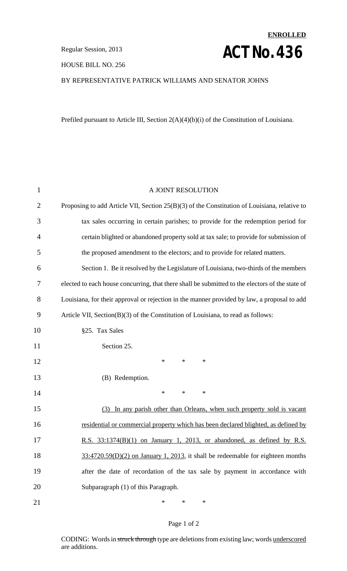HOUSE BILL NO. 256

# **ENROLLED Regular Session, 2013 ACT NO. 436**

### BY REPRESENTATIVE PATRICK WILLIAMS AND SENATOR JOHNS

Prefiled pursuant to Article III, Section 2(A)(4)(b)(i) of the Constitution of Louisiana.

| $\mathbf 1$    | A JOINT RESOLUTION                                                                              |
|----------------|-------------------------------------------------------------------------------------------------|
| $\overline{2}$ | Proposing to add Article VII, Section 25(B)(3) of the Constitution of Louisiana, relative to    |
| 3              | tax sales occurring in certain parishes; to provide for the redemption period for               |
| 4              | certain blighted or abandoned property sold at tax sale; to provide for submission of           |
| 5              | the proposed amendment to the electors; and to provide for related matters.                     |
| 6              | Section 1. Be it resolved by the Legislature of Louisiana, two-thirds of the members            |
| 7              | elected to each house concurring, that there shall be submitted to the electors of the state of |
| 8              | Louisiana, for their approval or rejection in the manner provided by law, a proposal to add     |
| 9              | Article VII, Section(B)(3) of the Constitution of Louisiana, to read as follows:                |
| 10             | §25. Tax Sales                                                                                  |
| 11             | Section 25.                                                                                     |
| 12             | $\ast$<br>$\ast$<br>$\ast$                                                                      |
| 13             | (B) Redemption.                                                                                 |
| 14             | $\ast$<br>$\ast$<br>$\ast$                                                                      |
| 15             | (3) In any parish other than Orleans, when such property sold is vacant                         |
| 16             | residential or commercial property which has been declared blighted, as defined by              |
| 17             | R.S. 33:1374(B)(1) on January 1, 2013, or abandoned, as defined by R.S.                         |
| 18             | $33:4720.59(D)(2)$ on January 1, 2013, it shall be redeemable for eighteen months               |
| 19             | after the date of recordation of the tax sale by payment in accordance with                     |
| 20             | Subparagraph (1) of this Paragraph.                                                             |
| 21             | ∗<br>*<br>∗                                                                                     |

#### Page 1 of 2

CODING: Words in struck through type are deletions from existing law; words underscored are additions.